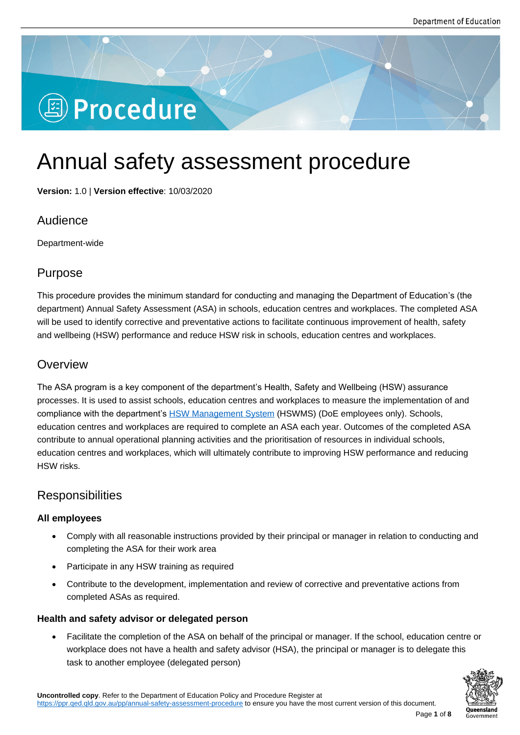# **图 Procedure**

## Annual safety assessment procedure

**Version:** 1.0 | **Version effective**: 10/03/2020

## Audience

Department-wide

## Purpose

This procedure provides the minimum standard for conducting and managing the Department of Education's (the department) Annual Safety Assessment (ASA) in schools, education centres and workplaces. The completed ASA will be used to identify corrective and preventative actions to facilitate continuous improvement of health, safety and wellbeing (HSW) performance and reduce HSW risk in schools, education centres and workplaces.

## **Overview**

The ASA program is a key component of the department's Health, Safety and Wellbeing (HSW) assurance processes. It is used to assist schools, education centres and workplaces to measure the implementation of and compliance with the department's HSW Management System (HSWMS) (DoE employees only). Schools, education centres and workplaces are required to complete an ASA each year. Outcomes of the completed ASA contribute to annual operational planning activities and the prioritisation of resources in individual schools, education centres and workplaces[, which will ultimately contrib](https://intranet.qed.qld.gov.au/Services/HumanResources/payrollhr/healthwellbeing/abouthealthsafetywellbeing/Pages/default.aspx)ute to improving HSW performance and reducing HSW risks.

## **Responsibilities**

#### **All employees**

- Comply with all reasonable instructions provided by their principal or manager in relation to conducting and completing the ASA for their work area
- Participate in any HSW training as required
- Contribute to the development, implementation and review of corrective and preventative actions from completed ASAs as required.

#### **Health and safety advisor or delegated person**

 Facilitate the completion of the ASA on behalf of the principal or manager. If the school, education centre or workplace does not have a health and safety advisor (HSA), the principal or manager is to delegate this task to another employee (delegated person)

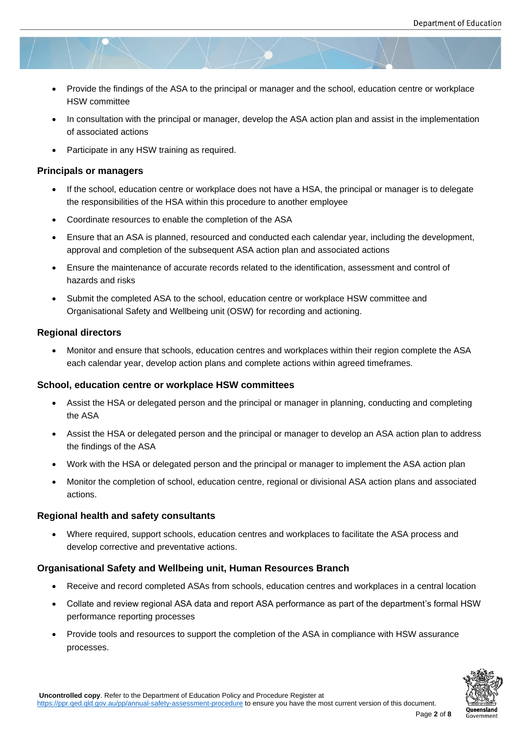- Provide the findings of the ASA to the principal or manager and the school, education centre or workplace HSW committee
- In consultation with the principal or manager, develop the ASA action plan and assist in the implementation of associated actions
- Participate in any HSW training as required.

#### **Principals or managers**

- If the school, education centre or workplace does not have a HSA, the principal or manager is to delegate the responsibilities of the HSA within this procedure to another employee
- Coordinate resources to enable the completion of the ASA
- Ensure that an ASA is planned, resourced and conducted each calendar year, including the development, approval and completion of the subsequent ASA action plan and associated actions
- Ensure the maintenance of accurate records related to the identification, assessment and control of hazards and risks
- Submit the completed ASA to the school, education centre or workplace HSW committee and Organisational Safety and Wellbeing unit (OSW) for recording and actioning.

#### **Regional directors**

 Monitor and ensure that schools, education centres and workplaces within their region complete the ASA each calendar year, develop action plans and complete actions within agreed timeframes.

#### **School, education centre or workplace HSW committees**

- Assist the HSA or delegated person and the principal or manager in planning, conducting and completing the ASA
- Assist the HSA or delegated person and the principal or manager to develop an ASA action plan to address the findings of the ASA
- Work with the HSA or delegated person and the principal or manager to implement the ASA action plan
- Monitor the completion of school, education centre, regional or divisional ASA action plans and associated actions.

#### **Regional health and safety consultants**

 Where required, support schools, education centres and workplaces to facilitate the ASA process and develop corrective and preventative actions.

#### **Organisational Safety and Wellbeing unit, Human Resources Branch**

- Receive and record completed ASAs from schools, education centres and workplaces in a central location
- Collate and review regional ASA data and report ASA performance as part of the department's formal HSW performance reporting processes
- Provide tools and resources to support the completion of the ASA in compliance with HSW assurance processes.

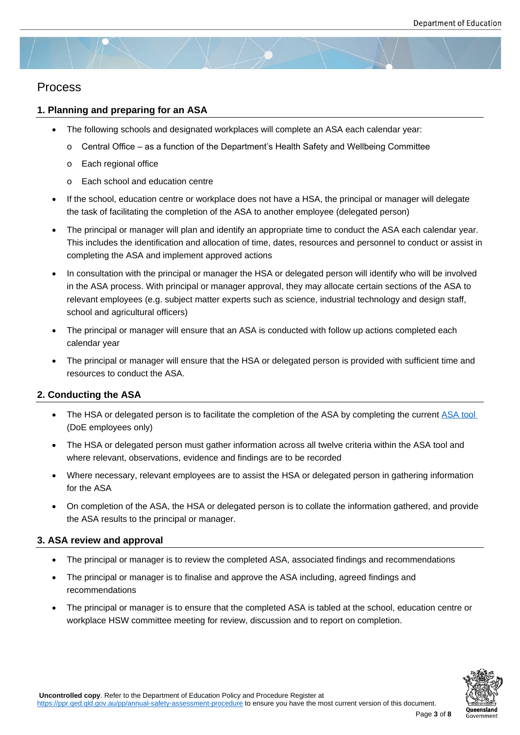### Process

#### **1. Planning and preparing for an ASA**

- The following schools and designated workplaces will complete an ASA each calendar year:
	- $\circ$  Central Office as a function of the Department's Health Safety and Wellbeing Committee
	- o Each regional office
	- o Each school and education centre
- If the school, education centre or workplace does not have a HSA, the principal or manager will delegate the task of facilitating the completion of the ASA to another employee (delegated person)
- The principal or manager will plan and identify an appropriate time to conduct the ASA each calendar year. This includes the identification and allocation of time, dates, resources and personnel to conduct or assist in completing the ASA and implement approved actions
- In consultation with the principal or manager the HSA or delegated person will identify who will be involved in the ASA process. With principal or manager approval, they may allocate certain sections of the ASA to relevant employees (e.g. subject matter experts such as science, industrial technology and design staff, school and agricultural officers)
- The principal or manager will ensure that an ASA is conducted with follow up actions completed each calendar year
- The principal or manager will ensure that the HSA or delegated person is provided with sufficient time and resources to conduct the ASA.

#### **2. Conducting the ASA**

- The HSA or delegated person is to facilitate the completion of the ASA by completing the current ASA tool (DoE employees only)
- The HSA or delegated person must gather information across all twelve criteria within the ASA tool and where relevant, observations, evidence and findings are to be recorded
- Where necessary, relevant employees are to assist the HSA or delegated person in gathering information for the ASA
- On completion of the ASA, the HSA or delegated person is to collate the information gathered, and provide the ASA results to the principal or manager.

#### **3. ASA review and approval**

- The principal or manager is to review the completed ASA, associated findings and recommendations
- The principal or manager is to finalise and approve the ASA including, agreed findings and recommendations
- The principal or manager is to ensure that the completed ASA is tabled at the school, education centre or workplace HSW committee meeting for review, discussion and to report on completion.

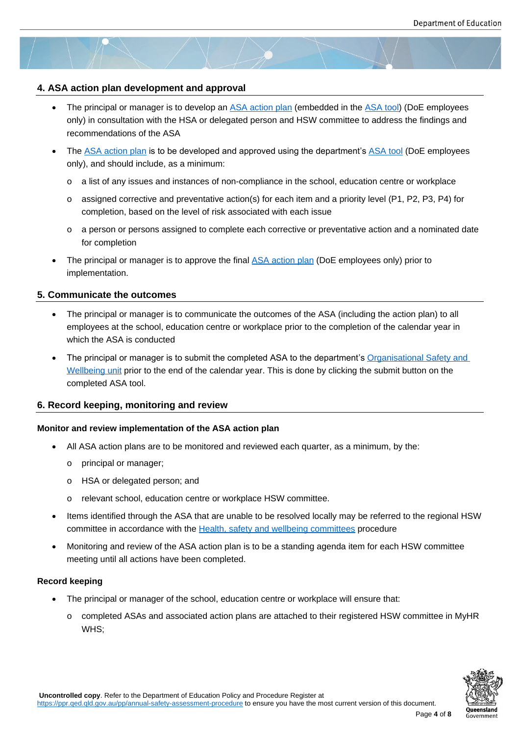#### **4. ASA action plan development and approval**

- The principal or manager is to develop an ASA action plan (embedded in the ASA tool) (DoE employees only) in consultation with the HSA or delegated person and HSW committee to address the findings and recommendations of the ASA
- The ASA action plan is to be developed a[nd approved usin](https://intranet.qed.qld.gov.au/Services/HumanResources/payrollhr/healthwellbeing/annualsafetyassessment/Pages/default.aspx)g the department's [ASA too](https://intranet.qed.qld.gov.au/Services/HumanResources/payrollhr/healthwellbeing/annualsafetyassessment/Pages/default.aspx)l (DoE employees only), and should include, as a minimum:
	- o a list of any issues and instances of non-compliance in the school, education centre or workplace
	- $\circ$  [assigned correcti](https://intranet.qed.qld.gov.au/Services/HumanResources/payrollhr/healthwellbeing/annualsafetyassessment/Pages/default.aspx)ve and preventative action(s) for each item and a priority [level \(P1,](https://intranet.qed.qld.gov.au/Services/HumanResources/payrollhr/healthwellbeing/annualsafetyassessment/Pages/default.aspx) P2, P3, P4) for completion, based on the level of risk associated with each issue
	- o a person or persons assigned to complete each corrective or preventative action and a nominated date for completion
- The principal or manager is to approve the final ASA action plan (DoE employees only) prior to implementation.

#### **5. Communicate the outcomes**

- The principal or manager is to communicate the outcomes of the ASA (including the action plan) to all employees at the school, education centre or workplace prior to the completion of the calendar year in which the ASA is conducted
- The principal or manager is to submit the completed ASA to the department's Organisational Safety and Wellbeing unit prior to the end of the calendar year. This is done by clicking the submit button on the completed ASA tool.

#### **6. Rec[ord keeping,](mailto:HSW@qed.qld.gov.au) monitoring and review**

#### **Monitor and review implementation of the ASA action plan**

- All ASA action plans are to be monitored and reviewed each quarter, as a minimum, by the:
	- o principal or manager;
	- o HSA or delegated person; and
	- o relevant school, education centre or workplace HSW committee.
- Items identified through the ASA that are unable to be resolved locally may be referred to the regional HSW committee in accordance with the Health, safety and wellbeing committees procedure
- Monitoring and review of the ASA action plan is to be a standing agenda item for each HSW committee meeting until all actions have been completed.

#### **Record keeping**

- The principal or manager of the school, education centre or workplace will ensure that:
	- o completed ASAs and associated action plans are attached to their registered HSW committee in MyHR WHS;

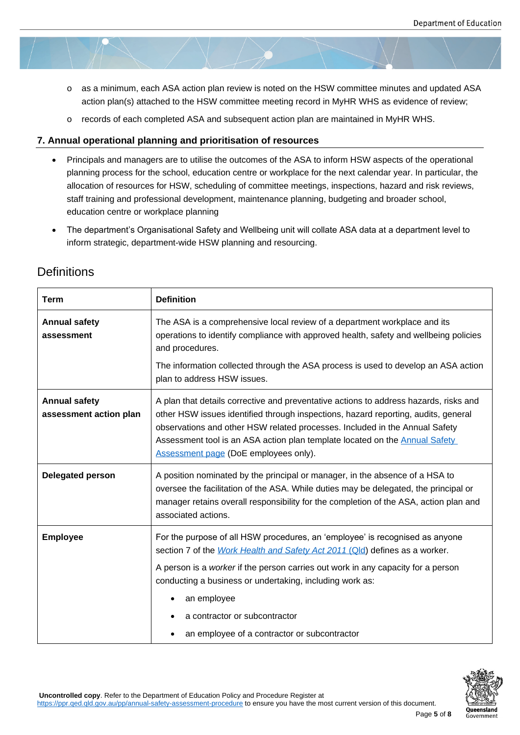- o as a minimum, each ASA action plan review is noted on the HSW committee minutes and updated ASA action plan(s) attached to the HSW committee meeting record in MyHR WHS as evidence of review;
- o records of each completed ASA and subsequent action plan are maintained in MyHR WHS.

#### **7. Annual operational planning and prioritisation of resources**

- Principals and managers are to utilise the outcomes of the ASA to inform HSW aspects of the operational planning process for the school, education centre or workplace for the next calendar year. In particular, the allocation of resources for HSW, scheduling of committee meetings, inspections, hazard and risk reviews, staff training and professional development, maintenance planning, budgeting and broader school, education centre or workplace planning
- The department's Organisational Safety and Wellbeing unit will collate ASA data at a department level to inform strategic, department-wide HSW planning and resourcing.

| <b>Term</b>                                    | <b>Definition</b>                                                                                                                                                                                                                                                                                                                                                                                           |
|------------------------------------------------|-------------------------------------------------------------------------------------------------------------------------------------------------------------------------------------------------------------------------------------------------------------------------------------------------------------------------------------------------------------------------------------------------------------|
| <b>Annual safety</b><br>assessment             | The ASA is a comprehensive local review of a department workplace and its<br>operations to identify compliance with approved health, safety and wellbeing policies<br>and procedures.<br>The information collected through the ASA process is used to develop an ASA action<br>plan to address HSW issues.                                                                                                  |
| <b>Annual safety</b><br>assessment action plan | A plan that details corrective and preventative actions to address hazards, risks and<br>other HSW issues identified through inspections, hazard reporting, audits, general<br>observations and other HSW related processes. Included in the Annual Safety<br>Assessment tool is an ASA action plan template located on the <b>Annual Safety</b><br>Assessment page (DoE employees only).                   |
| <b>Delegated person</b>                        | A position nominated by the principal or manager, in the absence of a HSA to<br>oversee the facilitation of the ASA. While duties may be delegated, the principal or<br>manager retains overall responsibility for the completion of the ASA, action plan and<br>associated actions.                                                                                                                        |
| <b>Employee</b>                                | For the purpose of all HSW procedures, an 'employee' is recognised as anyone<br>section 7 of the Work Health and Safety Act 2011 (Qld) defines as a worker.<br>A person is a worker if the person carries out work in any capacity for a person<br>conducting a business or undertaking, including work as:<br>an employee<br>a contractor or subcontractor<br>an employee of a contractor or subcontractor |

## **Definitions**

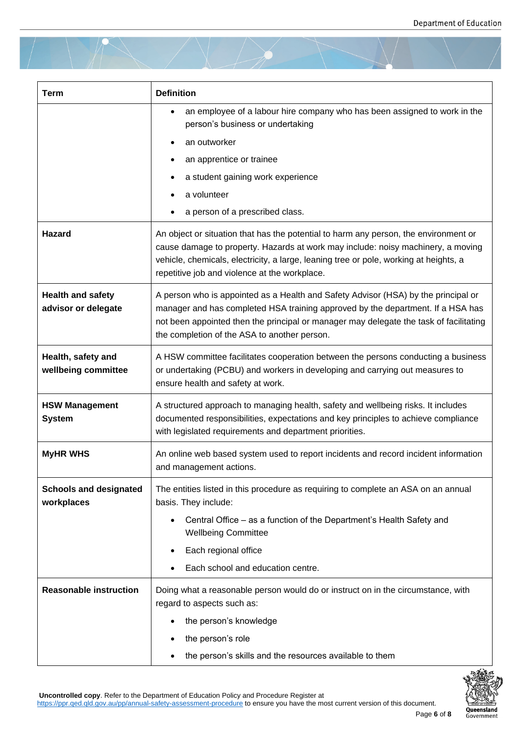| <b>Term</b>                                     | <b>Definition</b>                                                                                                                                                                                                                                                                                                  |
|-------------------------------------------------|--------------------------------------------------------------------------------------------------------------------------------------------------------------------------------------------------------------------------------------------------------------------------------------------------------------------|
|                                                 | an employee of a labour hire company who has been assigned to work in the<br>person's business or undertaking                                                                                                                                                                                                      |
|                                                 | an outworker                                                                                                                                                                                                                                                                                                       |
|                                                 | an apprentice or trainee                                                                                                                                                                                                                                                                                           |
|                                                 | a student gaining work experience                                                                                                                                                                                                                                                                                  |
|                                                 | a volunteer                                                                                                                                                                                                                                                                                                        |
|                                                 | a person of a prescribed class.                                                                                                                                                                                                                                                                                    |
| Hazard                                          | An object or situation that has the potential to harm any person, the environment or<br>cause damage to property. Hazards at work may include: noisy machinery, a moving<br>vehicle, chemicals, electricity, a large, leaning tree or pole, working at heights, a<br>repetitive job and violence at the workplace. |
| <b>Health and safety</b><br>advisor or delegate | A person who is appointed as a Health and Safety Advisor (HSA) by the principal or<br>manager and has completed HSA training approved by the department. If a HSA has<br>not been appointed then the principal or manager may delegate the task of facilitating<br>the completion of the ASA to another person.    |
| Health, safety and<br>wellbeing committee       | A HSW committee facilitates cooperation between the persons conducting a business<br>or undertaking (PCBU) and workers in developing and carrying out measures to<br>ensure health and safety at work.                                                                                                             |
| <b>HSW Management</b><br><b>System</b>          | A structured approach to managing health, safety and wellbeing risks. It includes<br>documented responsibilities, expectations and key principles to achieve compliance<br>with legislated requirements and department priorities.                                                                                 |
| <b>MyHR WHS</b>                                 | An online web based system used to report incidents and record incident information<br>and management actions.                                                                                                                                                                                                     |
| <b>Schools and designated</b><br>workplaces     | The entities listed in this procedure as requiring to complete an ASA on an annual<br>basis. They include:                                                                                                                                                                                                         |
|                                                 | Central Office - as a function of the Department's Health Safety and<br><b>Wellbeing Committee</b>                                                                                                                                                                                                                 |
|                                                 | Each regional office                                                                                                                                                                                                                                                                                               |
|                                                 | Each school and education centre.                                                                                                                                                                                                                                                                                  |
| <b>Reasonable instruction</b>                   | Doing what a reasonable person would do or instruct on in the circumstance, with<br>regard to aspects such as:                                                                                                                                                                                                     |
|                                                 | the person's knowledge                                                                                                                                                                                                                                                                                             |
|                                                 | the person's role                                                                                                                                                                                                                                                                                                  |
|                                                 | the person's skills and the resources available to them                                                                                                                                                                                                                                                            |

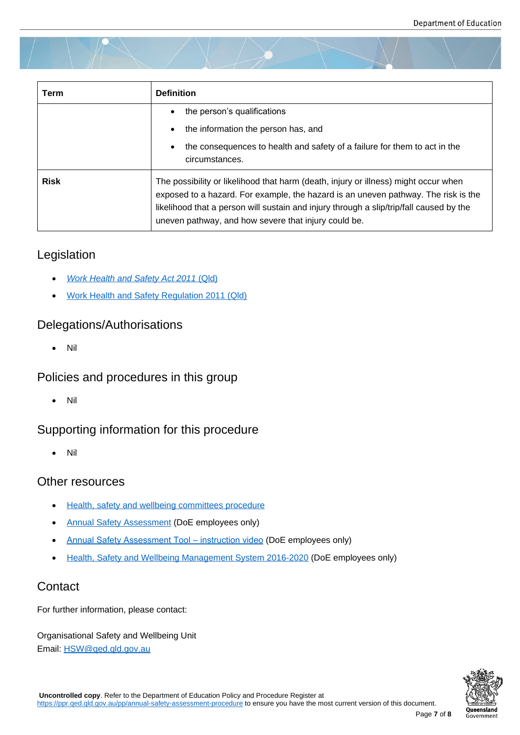| Term        | <b>Definition</b>                                                                                                                                                                                                                                                                                                            |
|-------------|------------------------------------------------------------------------------------------------------------------------------------------------------------------------------------------------------------------------------------------------------------------------------------------------------------------------------|
|             | the person's qualifications<br>the information the person has, and<br>$\bullet$<br>the consequences to health and safety of a failure for them to act in the<br>circumstances.                                                                                                                                               |
| <b>Risk</b> | The possibility or likelihood that harm (death, injury or illness) might occur when<br>exposed to a hazard. For example, the hazard is an uneven pathway. The risk is the<br>likelihood that a person will sustain and injury through a slip/trip/fall caused by the<br>uneven pathway, and how severe that injury could be. |

## Legislation

- *Work Health and Safety Act 2011* (Qld)
- Work Health and Safety Regulation 2011 (Qld)

## Dele[gations/Authorisations](https://www.legislation.qld.gov.au/view/html/inforce/current/act-2011-018)

[Nil](https://www.legislation.qld.gov.au/view/html/inforce/current/sl-2011-0240)

## Policies and procedures in this group

Nil

## Supporting information for this procedure

Nil

## Other resources

- **•** Health, safety and wellbeing committees procedure
- Annual Safety Assessment (DoE employees only)
- [Annual Safety Assessment Tool instruction video](https://ppr.qed.qld.gov.au/pp/health-safety-and-wellbeing-committees-procedure) (DoE employees only)
- [Health, Safety and Wellbein](https://intranet.qed.qld.gov.au/Services/HumanResources/payrollhr/healthwellbeing/annualsafetyassessment/Pages/default.aspx)g Management System 2016-2020 (DoE employees only)

## **Cont[act](https://intranet.qed.qld.gov.au/Services/HumanResources/payrollhr/healthwellbeing/annualsafetyassessment/Pages/default.aspx)**

For furt[her information, please contact:](https://intranet.qed.qld.gov.au/Services/HumanResources/payrollhr/healthwellbeing/abouthealthsafetywellbeing/Pages/default.aspx)

Organisational Safety and Wellbeing Unit Email: HSW@qed.qld.gov.au